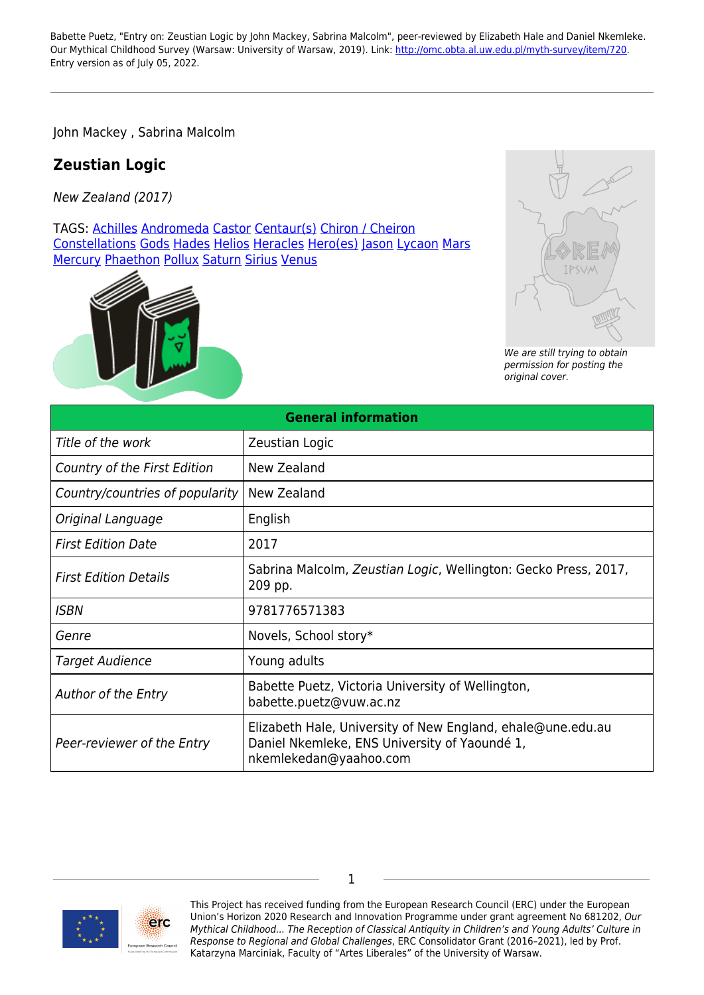John Mackey , Sabrina Malcolm

# **Zeustian Logic**

New Zealand (2017)

TAGS: [Achilles](https://www.omc.obta.al.uw.edu.pl/myth-survey/tag/48) [Andromeda](https://www.omc.obta.al.uw.edu.pl/myth-survey/tag/337) [Castor](https://www.omc.obta.al.uw.edu.pl/myth-survey/tag/870) [Centaur\(s\)](https://www.omc.obta.al.uw.edu.pl/myth-survey/tag/6) [Chiron / Cheiron](https://www.omc.obta.al.uw.edu.pl/myth-survey/tag/332) [Constellations](https://www.omc.obta.al.uw.edu.pl/myth-survey/tag/1509) [Gods](https://www.omc.obta.al.uw.edu.pl/myth-survey/tag/464) [Hades](https://www.omc.obta.al.uw.edu.pl/myth-survey/tag/29) [Helios](https://www.omc.obta.al.uw.edu.pl/myth-survey/tag/902) [Heracles](https://www.omc.obta.al.uw.edu.pl/myth-survey/tag/63) [Hero\(es\)](https://www.omc.obta.al.uw.edu.pl/myth-survey/tag/23) [Jason](https://www.omc.obta.al.uw.edu.pl/myth-survey/tag/75) [Lycaon](https://www.omc.obta.al.uw.edu.pl/myth-survey/tag/1654) [Mars](https://www.omc.obta.al.uw.edu.pl/myth-survey/tag/962) [Mercury](https://www.omc.obta.al.uw.edu.pl/myth-survey/tag/620) [Phaethon](https://www.omc.obta.al.uw.edu.pl/myth-survey/tag/111) [Pollux](https://www.omc.obta.al.uw.edu.pl/myth-survey/tag/1016) [Saturn](https://www.omc.obta.al.uw.edu.pl/myth-survey/tag/654) [Sirius](https://www.omc.obta.al.uw.edu.pl/myth-survey/tag/969) [Venus](https://www.omc.obta.al.uw.edu.pl/myth-survey/tag/621)





We are still trying to obtain permission for posting the original cover.

| <b>General information</b>      |                                                                                                                                        |  |
|---------------------------------|----------------------------------------------------------------------------------------------------------------------------------------|--|
| Title of the work               | Zeustian Logic                                                                                                                         |  |
| Country of the First Edition    | New Zealand                                                                                                                            |  |
| Country/countries of popularity | New Zealand                                                                                                                            |  |
| Original Language               | English                                                                                                                                |  |
| <b>First Edition Date</b>       | 2017                                                                                                                                   |  |
| <b>First Edition Details</b>    | Sabrina Malcolm, Zeustian Logic, Wellington: Gecko Press, 2017,<br>209 pp.                                                             |  |
| <b>ISBN</b>                     | 9781776571383                                                                                                                          |  |
| Genre                           | Novels, School story*                                                                                                                  |  |
| <b>Target Audience</b>          | Young adults                                                                                                                           |  |
| <b>Author of the Entry</b>      | Babette Puetz, Victoria University of Wellington,<br>babette.puetz@vuw.ac.nz                                                           |  |
| Peer-reviewer of the Entry      | Elizabeth Hale, University of New England, ehale@une.edu.au<br>Daniel Nkemleke, ENS University of Yaoundé 1,<br>nkemlekedan@yaahoo.com |  |

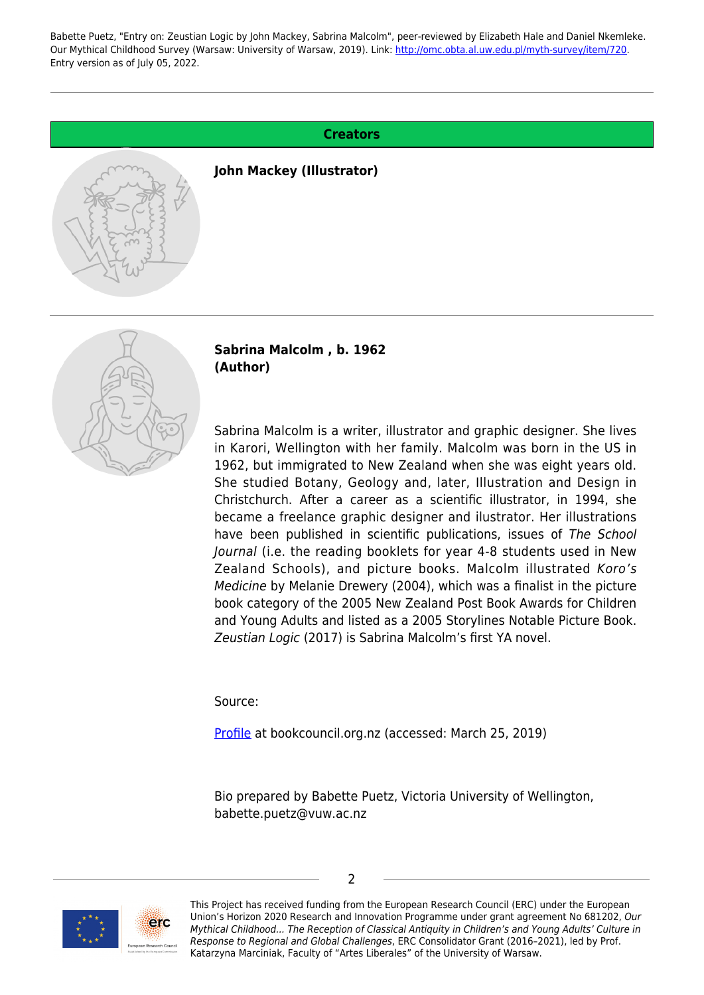## **Creators**



**John Mackey (Illustrator)**



# **Sabrina Malcolm , b. 1962 (Author)**

Sabrina Malcolm is a writer, illustrator and graphic designer. She lives in Karori, Wellington with her family. Malcolm was born in the US in 1962, but immigrated to New Zealand when she was eight years old. She studied Botany, Geology and, later, Illustration and Design in Christchurch. After a career as a scientific illustrator, in 1994, she became a freelance graphic designer and ilustrator. Her illustrations have been published in scientific publications, issues of The School Journal (i.e. the reading booklets for year 4-8 students used in New Zealand Schools), and picture books. Malcolm illustrated Koro's Medicine by Melanie Drewery (2004), which was a finalist in the picture book category of the 2005 New Zealand Post Book Awards for Children and Young Adults and listed as a 2005 Storylines Notable Picture Book. Zeustian Logic (2017) is Sabrina Malcolm's first YA novel.

Source:

[Profile](https://www.bookcouncil.org.nz/writer/malcolm-sabrina/) at bookcouncil.org.nz (accessed: March 25, 2019)

Bio prepared by Babette Puetz, Victoria University of Wellington, babette.puetz@vuw.ac.nz

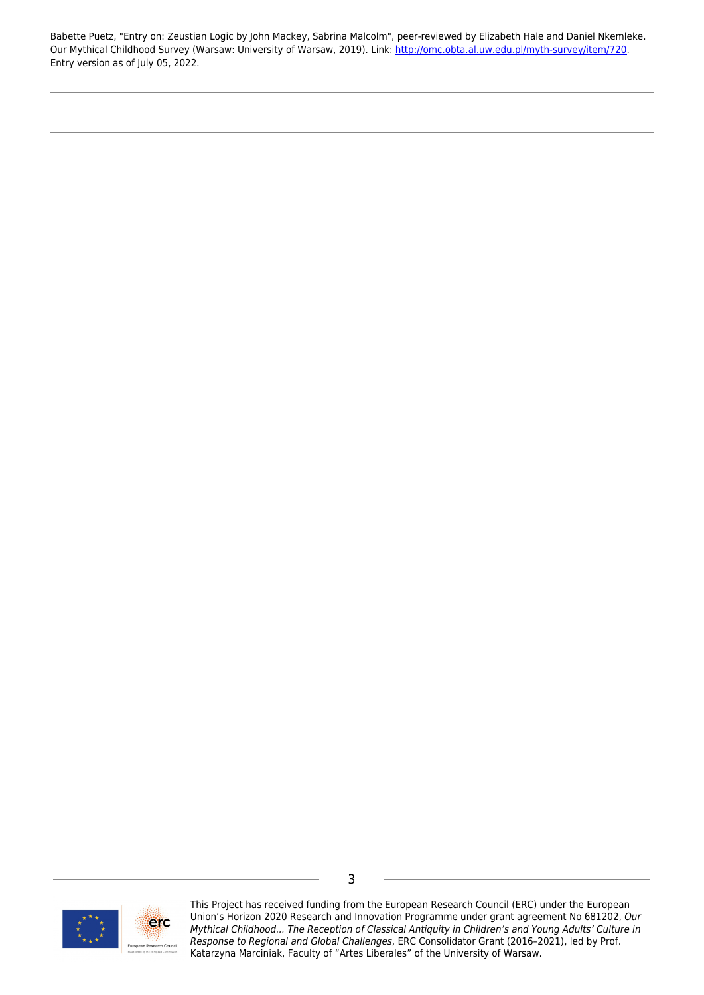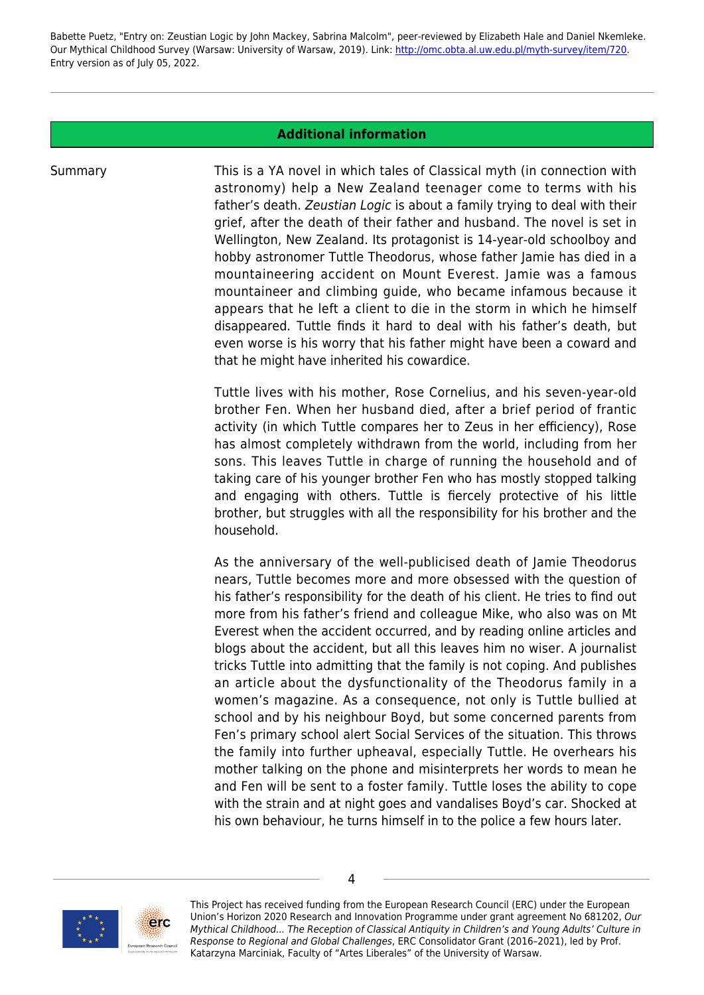### **Additional information**

Summary This is a YA novel in which tales of Classical myth (in connection with astronomy) help a New Zealand teenager come to terms with his father's death. Zeustian Logic is about a family trying to deal with their grief, after the death of their father and husband. The novel is set in Wellington, New Zealand. Its protagonist is 14-year-old schoolboy and hobby astronomer Tuttle Theodorus, whose father Jamie has died in a mountaineering accident on Mount Everest. Jamie was a famous mountaineer and climbing guide, who became infamous because it appears that he left a client to die in the storm in which he himself disappeared. Tuttle finds it hard to deal with his father's death, but even worse is his worry that his father might have been a coward and that he might have inherited his cowardice.

> Tuttle lives with his mother, Rose Cornelius, and his seven-year-old brother Fen. When her husband died, after a brief period of frantic activity (in which Tuttle compares her to Zeus in her efficiency), Rose has almost completely withdrawn from the world, including from her sons. This leaves Tuttle in charge of running the household and of taking care of his younger brother Fen who has mostly stopped talking and engaging with others. Tuttle is fiercely protective of his little brother, but struggles with all the responsibility for his brother and the household.

> As the anniversary of the well-publicised death of Jamie Theodorus nears, Tuttle becomes more and more obsessed with the question of his father's responsibility for the death of his client. He tries to find out more from his father's friend and colleague Mike, who also was on Mt Everest when the accident occurred, and by reading online articles and blogs about the accident, but all this leaves him no wiser. A journalist tricks Tuttle into admitting that the family is not coping. And publishes an article about the dysfunctionality of the Theodorus family in a women's magazine. As a consequence, not only is Tuttle bullied at school and by his neighbour Boyd, but some concerned parents from Fen's primary school alert Social Services of the situation. This throws the family into further upheaval, especially Tuttle. He overhears his mother talking on the phone and misinterprets her words to mean he and Fen will be sent to a foster family. Tuttle loses the ability to cope with the strain and at night goes and vandalises Boyd's car. Shocked at his own behaviour, he turns himself in to the police a few hours later.



This Project has received funding from the European Research Council (ERC) under the European Union's Horizon 2020 Research and Innovation Programme under grant agreement No 681202, Our Mythical Childhood... The Reception of Classical Antiquity in Children's and Young Adults' Culture in Response to Regional and Global Challenges, ERC Consolidator Grant (2016–2021), led by Prof. Katarzyna Marciniak, Faculty of "Artes Liberales" of the University of Warsaw.

4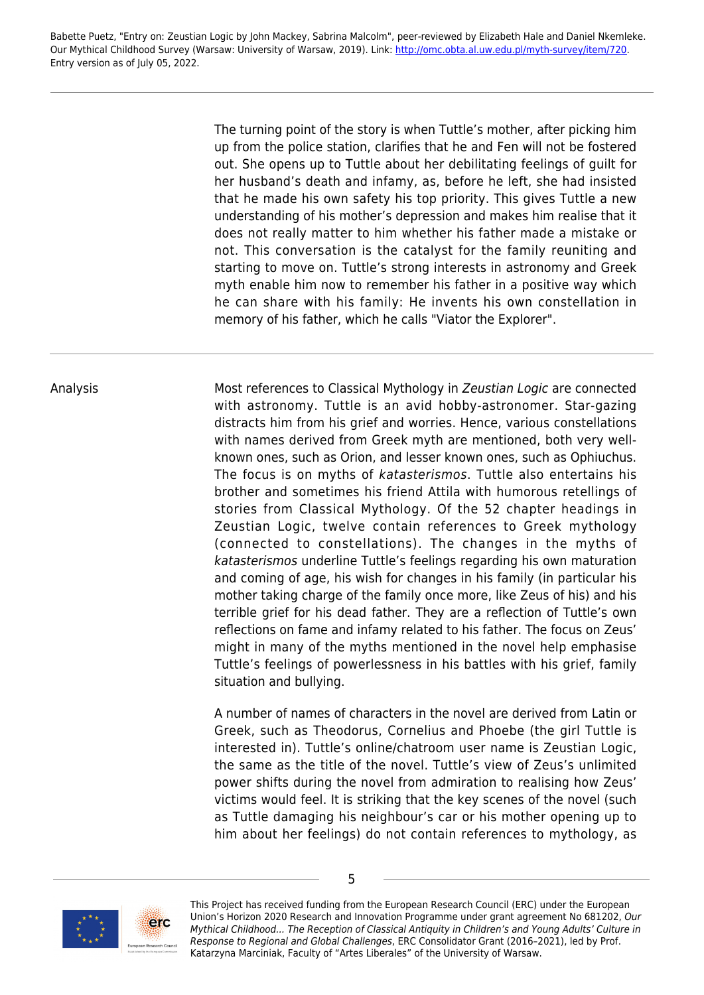> The turning point of the story is when Tuttle's mother, after picking him up from the police station, clarifies that he and Fen will not be fostered out. She opens up to Tuttle about her debilitating feelings of guilt for her husband's death and infamy, as, before he left, she had insisted that he made his own safety his top priority. This gives Tuttle a new understanding of his mother's depression and makes him realise that it does not really matter to him whether his father made a mistake or not. This conversation is the catalyst for the family reuniting and starting to move on. Tuttle's strong interests in astronomy and Greek myth enable him now to remember his father in a positive way which he can share with his family: He invents his own constellation in memory of his father, which he calls "Viator the Explorer".

Analysis Most references to Classical Mythology in Zeustian Logic are connected with astronomy. Tuttle is an avid hobby-astronomer. Star-gazing distracts him from his grief and worries. Hence, various constellations with names derived from Greek myth are mentioned, both very wellknown ones, such as Orion, and lesser known ones, such as Ophiuchus. The focus is on myths of katasterismos. Tuttle also entertains his brother and sometimes his friend Attila with humorous retellings of stories from Classical Mythology. Of the 52 chapter headings in Zeustian Logic, twelve contain references to Greek mythology (connected to constellations). The changes in the myths of katasterismos underline Tuttle's feelings regarding his own maturation and coming of age, his wish for changes in his family (in particular his mother taking charge of the family once more, like Zeus of his) and his terrible grief for his dead father. They are a reflection of Tuttle's own reflections on fame and infamy related to his father. The focus on Zeus' might in many of the myths mentioned in the novel help emphasise Tuttle's feelings of powerlessness in his battles with his grief, family situation and bullying.

> A number of names of characters in the novel are derived from Latin or Greek, such as Theodorus, Cornelius and Phoebe (the girl Tuttle is interested in). Tuttle's online/chatroom user name is Zeustian Logic, the same as the title of the novel. Tuttle's view of Zeus's unlimited power shifts during the novel from admiration to realising how Zeus' victims would feel. It is striking that the key scenes of the novel (such as Tuttle damaging his neighbour's car or his mother opening up to him about her feelings) do not contain references to mythology, as



This Project has received funding from the European Research Council (ERC) under the European Union's Horizon 2020 Research and Innovation Programme under grant agreement No 681202, Our Mythical Childhood... The Reception of Classical Antiquity in Children's and Young Adults' Culture in Response to Regional and Global Challenges, ERC Consolidator Grant (2016–2021), led by Prof. Katarzyna Marciniak, Faculty of "Artes Liberales" of the University of Warsaw.

5